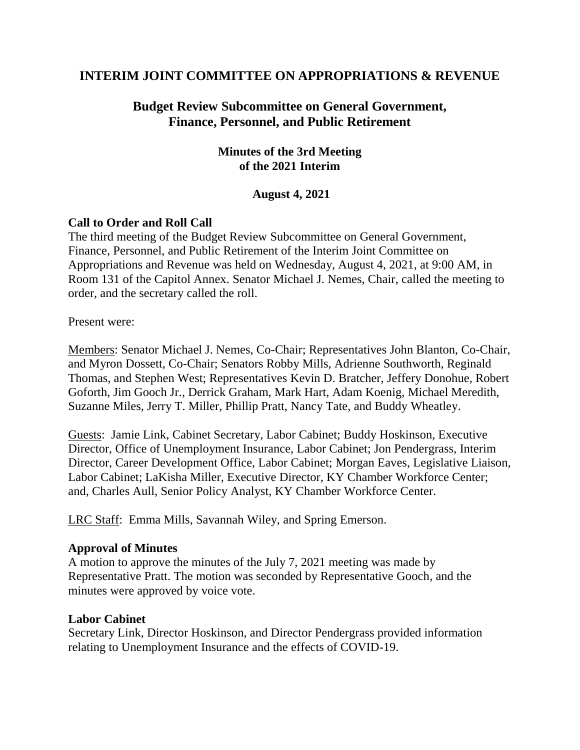## **INTERIM JOINT COMMITTEE ON APPROPRIATIONS & REVENUE**

# **Budget Review Subcommittee on General Government, Finance, Personnel, and Public Retirement**

## **Minutes of the 3rd Meeting of the 2021 Interim**

### **August 4, 2021**

### **Call to Order and Roll Call**

The third meeting of the Budget Review Subcommittee on General Government, Finance, Personnel, and Public Retirement of the Interim Joint Committee on Appropriations and Revenue was held on Wednesday, August 4, 2021, at 9:00 AM, in Room 131 of the Capitol Annex. Senator Michael J. Nemes, Chair, called the meeting to order, and the secretary called the roll.

Present were:

Members: Senator Michael J. Nemes, Co-Chair; Representatives John Blanton, Co-Chair, and Myron Dossett, Co-Chair; Senators Robby Mills, Adrienne Southworth, Reginald Thomas, and Stephen West; Representatives Kevin D. Bratcher, Jeffery Donohue, Robert Goforth, Jim Gooch Jr., Derrick Graham, Mark Hart, Adam Koenig, Michael Meredith, Suzanne Miles, Jerry T. Miller, Phillip Pratt, Nancy Tate, and Buddy Wheatley.

Guests: Jamie Link, Cabinet Secretary, Labor Cabinet; Buddy Hoskinson, Executive Director, Office of Unemployment Insurance, Labor Cabinet; Jon Pendergrass, Interim Director, Career Development Office, Labor Cabinet; Morgan Eaves, Legislative Liaison, Labor Cabinet; LaKisha Miller, Executive Director, KY Chamber Workforce Center; and, Charles Aull, Senior Policy Analyst, KY Chamber Workforce Center.

LRC Staff: Emma Mills, Savannah Wiley, and Spring Emerson.

#### **Approval of Minutes**

A motion to approve the minutes of the July 7, 2021 meeting was made by Representative Pratt. The motion was seconded by Representative Gooch, and the minutes were approved by voice vote.

#### **Labor Cabinet**

Secretary Link, Director Hoskinson, and Director Pendergrass provided information relating to Unemployment Insurance and the effects of COVID-19.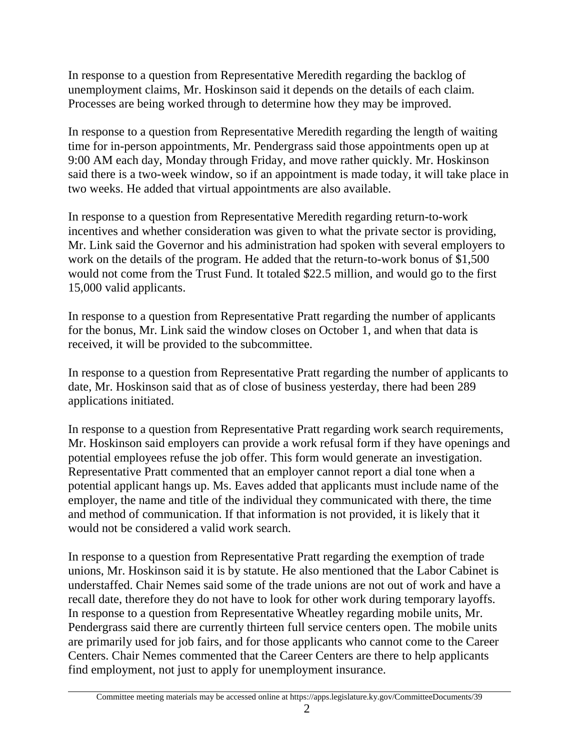In response to a question from Representative Meredith regarding the backlog of unemployment claims, Mr. Hoskinson said it depends on the details of each claim. Processes are being worked through to determine how they may be improved.

In response to a question from Representative Meredith regarding the length of waiting time for in-person appointments, Mr. Pendergrass said those appointments open up at 9:00 AM each day, Monday through Friday, and move rather quickly. Mr. Hoskinson said there is a two-week window, so if an appointment is made today, it will take place in two weeks. He added that virtual appointments are also available.

In response to a question from Representative Meredith regarding return-to-work incentives and whether consideration was given to what the private sector is providing, Mr. Link said the Governor and his administration had spoken with several employers to work on the details of the program. He added that the return-to-work bonus of \$1,500 would not come from the Trust Fund. It totaled \$22.5 million, and would go to the first 15,000 valid applicants.

In response to a question from Representative Pratt regarding the number of applicants for the bonus, Mr. Link said the window closes on October 1, and when that data is received, it will be provided to the subcommittee.

In response to a question from Representative Pratt regarding the number of applicants to date, Mr. Hoskinson said that as of close of business yesterday, there had been 289 applications initiated.

In response to a question from Representative Pratt regarding work search requirements, Mr. Hoskinson said employers can provide a work refusal form if they have openings and potential employees refuse the job offer. This form would generate an investigation. Representative Pratt commented that an employer cannot report a dial tone when a potential applicant hangs up. Ms. Eaves added that applicants must include name of the employer, the name and title of the individual they communicated with there, the time and method of communication. If that information is not provided, it is likely that it would not be considered a valid work search.

In response to a question from Representative Pratt regarding the exemption of trade unions, Mr. Hoskinson said it is by statute. He also mentioned that the Labor Cabinet is understaffed. Chair Nemes said some of the trade unions are not out of work and have a recall date, therefore they do not have to look for other work during temporary layoffs. In response to a question from Representative Wheatley regarding mobile units, Mr. Pendergrass said there are currently thirteen full service centers open. The mobile units are primarily used for job fairs, and for those applicants who cannot come to the Career Centers. Chair Nemes commented that the Career Centers are there to help applicants find employment, not just to apply for unemployment insurance.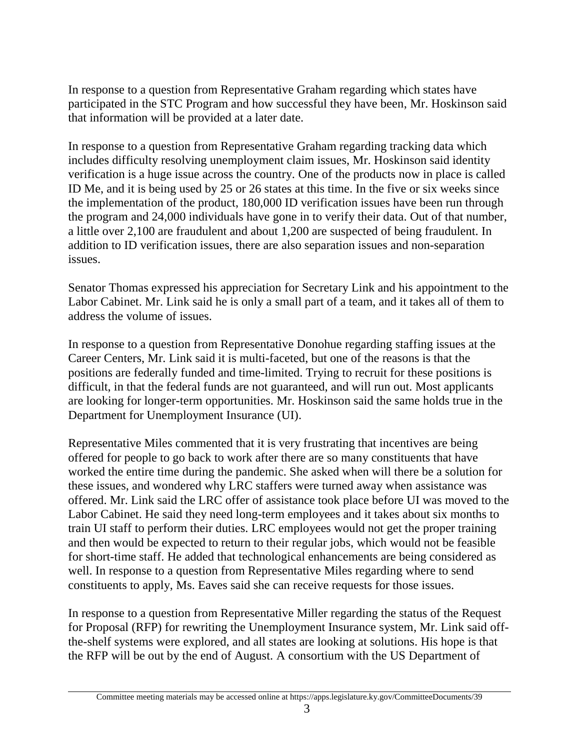In response to a question from Representative Graham regarding which states have participated in the STC Program and how successful they have been, Mr. Hoskinson said that information will be provided at a later date.

In response to a question from Representative Graham regarding tracking data which includes difficulty resolving unemployment claim issues, Mr. Hoskinson said identity verification is a huge issue across the country. One of the products now in place is called ID Me, and it is being used by 25 or 26 states at this time. In the five or six weeks since the implementation of the product, 180,000 ID verification issues have been run through the program and 24,000 individuals have gone in to verify their data. Out of that number, a little over 2,100 are fraudulent and about 1,200 are suspected of being fraudulent. In addition to ID verification issues, there are also separation issues and non-separation issues.

Senator Thomas expressed his appreciation for Secretary Link and his appointment to the Labor Cabinet. Mr. Link said he is only a small part of a team, and it takes all of them to address the volume of issues.

In response to a question from Representative Donohue regarding staffing issues at the Career Centers, Mr. Link said it is multi-faceted, but one of the reasons is that the positions are federally funded and time-limited. Trying to recruit for these positions is difficult, in that the federal funds are not guaranteed, and will run out. Most applicants are looking for longer-term opportunities. Mr. Hoskinson said the same holds true in the Department for Unemployment Insurance (UI).

Representative Miles commented that it is very frustrating that incentives are being offered for people to go back to work after there are so many constituents that have worked the entire time during the pandemic. She asked when will there be a solution for these issues, and wondered why LRC staffers were turned away when assistance was offered. Mr. Link said the LRC offer of assistance took place before UI was moved to the Labor Cabinet. He said they need long-term employees and it takes about six months to train UI staff to perform their duties. LRC employees would not get the proper training and then would be expected to return to their regular jobs, which would not be feasible for short-time staff. He added that technological enhancements are being considered as well. In response to a question from Representative Miles regarding where to send constituents to apply, Ms. Eaves said she can receive requests for those issues.

In response to a question from Representative Miller regarding the status of the Request for Proposal (RFP) for rewriting the Unemployment Insurance system, Mr. Link said offthe-shelf systems were explored, and all states are looking at solutions. His hope is that the RFP will be out by the end of August. A consortium with the US Department of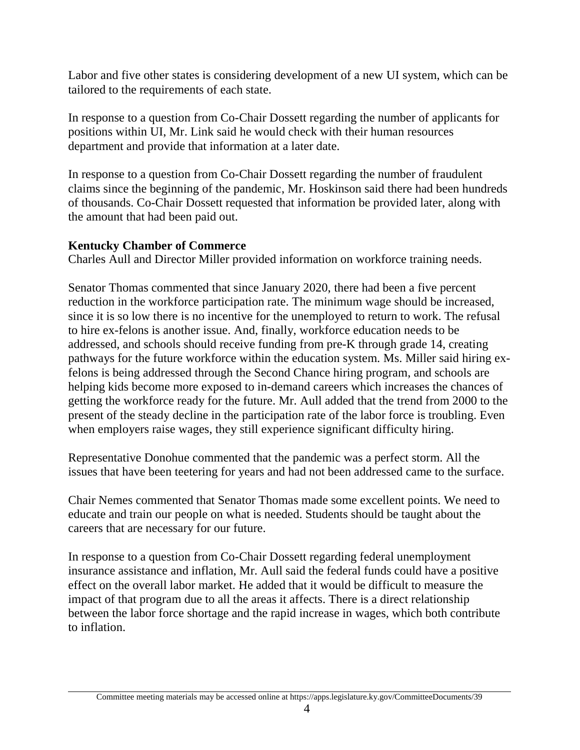Labor and five other states is considering development of a new UI system, which can be tailored to the requirements of each state.

In response to a question from Co-Chair Dossett regarding the number of applicants for positions within UI, Mr. Link said he would check with their human resources department and provide that information at a later date.

In response to a question from Co-Chair Dossett regarding the number of fraudulent claims since the beginning of the pandemic, Mr. Hoskinson said there had been hundreds of thousands. Co-Chair Dossett requested that information be provided later, along with the amount that had been paid out.

# **Kentucky Chamber of Commerce**

Charles Aull and Director Miller provided information on workforce training needs.

Senator Thomas commented that since January 2020, there had been a five percent reduction in the workforce participation rate. The minimum wage should be increased, since it is so low there is no incentive for the unemployed to return to work. The refusal to hire ex-felons is another issue. And, finally, workforce education needs to be addressed, and schools should receive funding from pre-K through grade 14, creating pathways for the future workforce within the education system. Ms. Miller said hiring exfelons is being addressed through the Second Chance hiring program, and schools are helping kids become more exposed to in-demand careers which increases the chances of getting the workforce ready for the future. Mr. Aull added that the trend from 2000 to the present of the steady decline in the participation rate of the labor force is troubling. Even when employers raise wages, they still experience significant difficulty hiring.

Representative Donohue commented that the pandemic was a perfect storm. All the issues that have been teetering for years and had not been addressed came to the surface.

Chair Nemes commented that Senator Thomas made some excellent points. We need to educate and train our people on what is needed. Students should be taught about the careers that are necessary for our future.

In response to a question from Co-Chair Dossett regarding federal unemployment insurance assistance and inflation, Mr. Aull said the federal funds could have a positive effect on the overall labor market. He added that it would be difficult to measure the impact of that program due to all the areas it affects. There is a direct relationship between the labor force shortage and the rapid increase in wages, which both contribute to inflation.